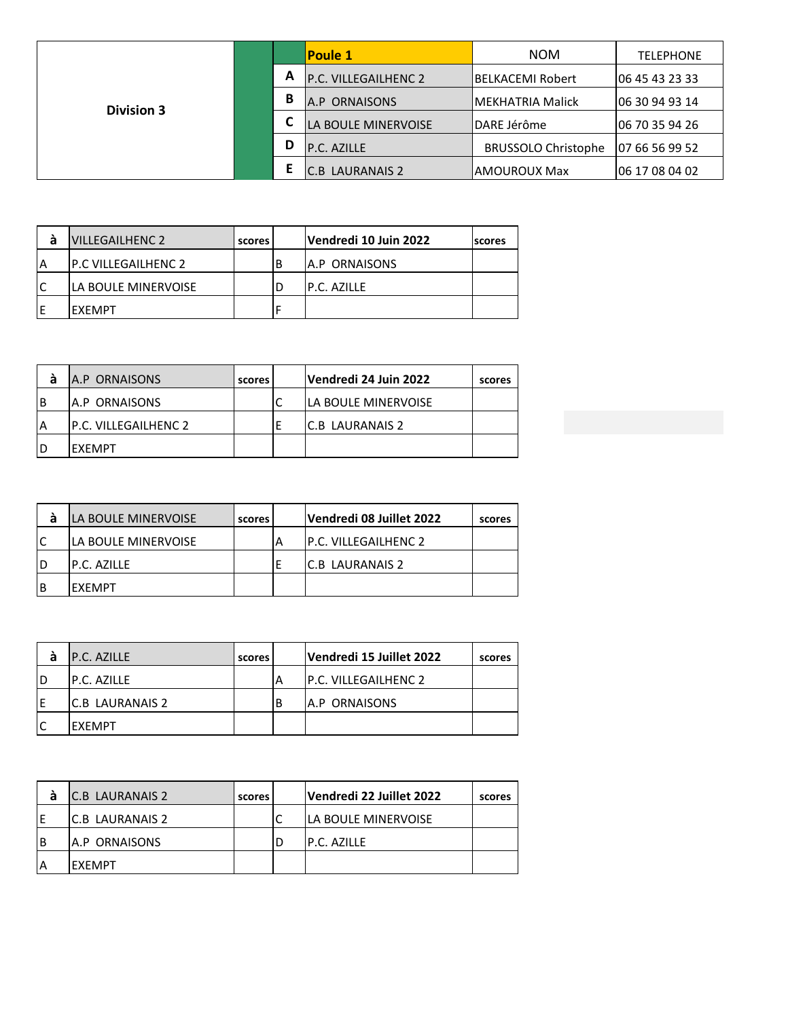|                   |   |               | <b>Poule 1</b>              | <b>NOM</b>                 | <b>TELEPHONE</b> |
|-------------------|---|---------------|-----------------------------|----------------------------|------------------|
|                   |   | A             | <b>P.C. VILLEGAILHENC 2</b> | <b>IBELKACEMI Robert</b>   | 06 45 43 23 33   |
| <b>Division 3</b> | В | A.P ORNAISONS | IMEKHATRIA Malick           | 106 30 94 93 14            |                  |
|                   |   |               | LA BOULE MINERVOISE         | <b>IDARE Jérôme</b>        | 06 70 35 94 26   |
|                   |   | D             | P.C. AZILLE                 | <b>BRUSSOLO Christophe</b> | 07 66 56 99 52   |
|                   |   |               | <b>C.B. LAURANAIS 2</b>     | lAMOUROUX Max              | 06 17 08 04 02   |

|   | VILLEGAILHENC 2             | scores | Vendredi 10 Juin 2022 | <b>scores</b> |
|---|-----------------------------|--------|-----------------------|---------------|
| A | <b>IP.C VILLEGAILHENC 2</b> |        | <b>JA.P ORNAISONS</b> |               |
|   | LA BOULE MINERVOISE         |        | IP.C. AZILLE          |               |
| Е | <b>FXFMPT</b>               |        |                       |               |

|   | A.P ORNAISONS               | scores | Vendredi 24 Juin 2022       | scores |
|---|-----------------------------|--------|-----------------------------|--------|
| В | <b>IA.P ORNAISONS</b>       |        | <b>ILA BOULE MINERVOISE</b> |        |
|   | <b>P.C. VILLEGAILHENC 2</b> |        | IC.B LAURANAIS 2            |        |
| D | IEXEMPT                     |        |                             |        |

|   | <b>LA BOULE MINERVOISE</b> | scores | Vendredi 08 Juillet 2022    | scores |
|---|----------------------------|--------|-----------------------------|--------|
|   | lla boule minervoise       |        | <b>P.C. VILLEGAILHENC 2</b> |        |
| D | IP.C. AZILLE               |        | IC.B LAURANAIS 2            |        |
| B | IFXFMPT                    |        |                             |        |

| a  | <b>P.C. AZILLE</b> | scores | Vendredi 15 Juillet 2022    | scores |
|----|--------------------|--------|-----------------------------|--------|
| ID | IP.C. AZILLE       |        | <b>P.C. VILLEGAILHENC 2</b> |        |
| ΙE | IC.B LAURANAIS 2   |        | <b>JA.P ORNAISONS</b>       |        |
| lC | <b>EXEMPT</b>      |        |                             |        |

| а        | IC.B LAURANAIS 2 | scores | Vendredi 22 Juillet 2022    | scores |
|----------|------------------|--------|-----------------------------|--------|
| E        | IC.B LAURANAIS 2 |        | <b>ILA BOULE MINERVOISE</b> |        |
| <b>B</b> | IA.P ORNAISONS   |        | IP.C. AZILLE                |        |
|          | IEXEMPT          |        |                             |        |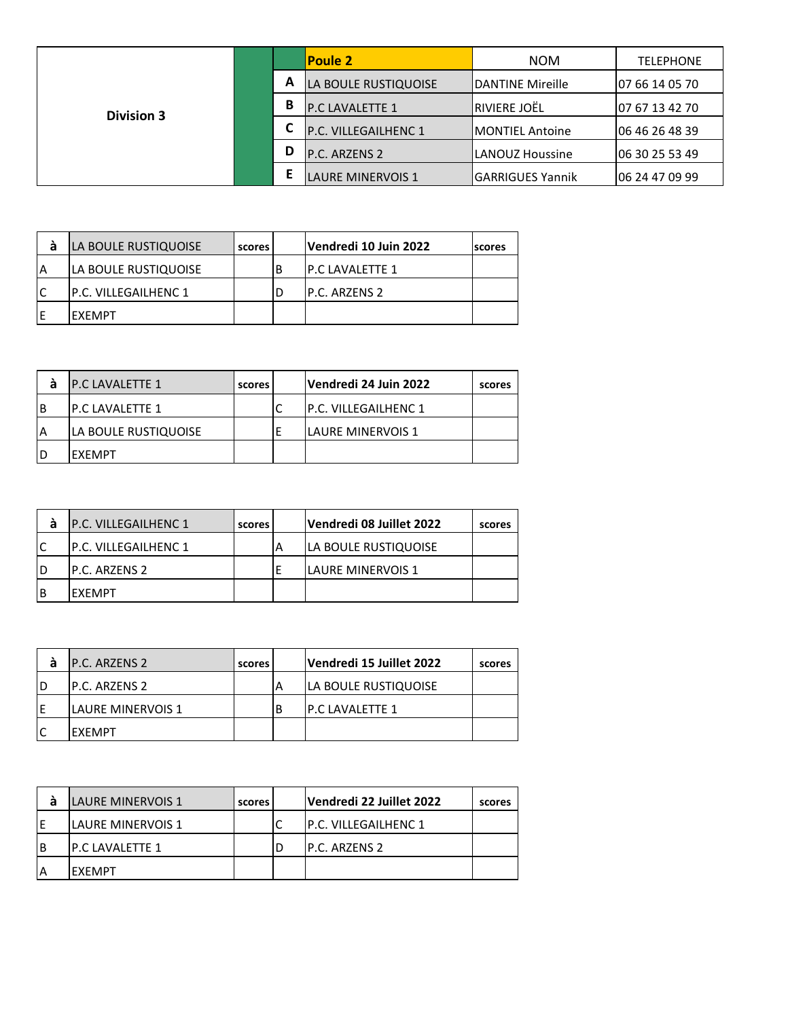|                   |        |   | <b>Poule 2</b>           | <b>NOM</b>              | <b>TELEPHONE</b> |
|-------------------|--------|---|--------------------------|-------------------------|------------------|
|                   | A<br>В |   | LA BOULE RUSTIQUOISE     | <b>DANTINE Mireille</b> | 07 66 14 05 70   |
| <b>Division 3</b> |        |   | <b>P.C LAVALETTE 1</b>   | RIVIERE JOËL            | 07 67 13 42 70   |
|                   |        |   | P.C. VILLEGAILHENC 1     | <b>IMONTIEL Antoine</b> | 06 46 26 48 39   |
|                   |        | D | P.C. ARZENS 2            | lLANOUZ Houssine        | 06 30 25 53 49   |
|                   |        |   | <b>LAURE MINERVOIS 1</b> | lGARRIGUES Yannik       | 06 24 47 09 99   |

| а | LA BOULE RUSTIQUOISE        | scores | Vendredi 10 Juin 2022   | <b>scores</b> |
|---|-----------------------------|--------|-------------------------|---------------|
| A | LA BOULE RUSTIQUOISE        |        | <b>IP.C LAVALETTE 1</b> |               |
|   | <b>P.C. VILLEGAILHENC 1</b> |        | IP.C. ARZENS 2          |               |
| Е | IFXFMPT                     |        |                         |               |

| а   | <b>P.C LAVALETTE 1</b>       | scores | Vendredi 24 Juin 2022        | scores |
|-----|------------------------------|--------|------------------------------|--------|
| l B | <b>IP.C LAVALETTE 1</b>      |        | <b>IP.C. VILLEGAILHENC 1</b> |        |
| ΙA  | <b>ILA BOULE RUSTIQUOISE</b> |        | <b>LAURE MINERVOIS 1</b>     |        |
| ID  | IFXFMPT                      |        |                              |        |

| а  | <b>P.C. VILLEGAILHENC 1</b> | scores | Vendredi 08 Juillet 2022 | scores |
|----|-----------------------------|--------|--------------------------|--------|
| lC | P.C. VILLEGAILHENC 1        |        | LA BOULE RUSTIQUOISE     |        |
| ID | IP.C. ARZENS 2              |        | <b>LAURE MINERVOIS 1</b> |        |
| ΙB | IEXEMPT                     |        |                          |        |

|    | <b>IP.C. ARZENS 2</b>     | scores | Vendredi 15 Juillet 2022 | scores |
|----|---------------------------|--------|--------------------------|--------|
| ID | IP.C. ARZENS 2            |        | LA BOULE RUSTIQUOISE     |        |
| ΙE | <b>ILAURE MINERVOIS 1</b> |        | IP.C LAVALETTE 1         |        |
|    | IFXFMPT                   |        |                          |        |

| а | LAURE MINERVOIS 1         | scores | Vendredi 22 Juillet 2022    | scores |
|---|---------------------------|--------|-----------------------------|--------|
|   | <b>ILAURE MINERVOIS 1</b> |        | <b>P.C. VILLEGAILHENC 1</b> |        |
| B | IP.C LAVALETTE 1          |        | IP.C. ARZENS 2              |        |
|   | IFXFMPT                   |        |                             |        |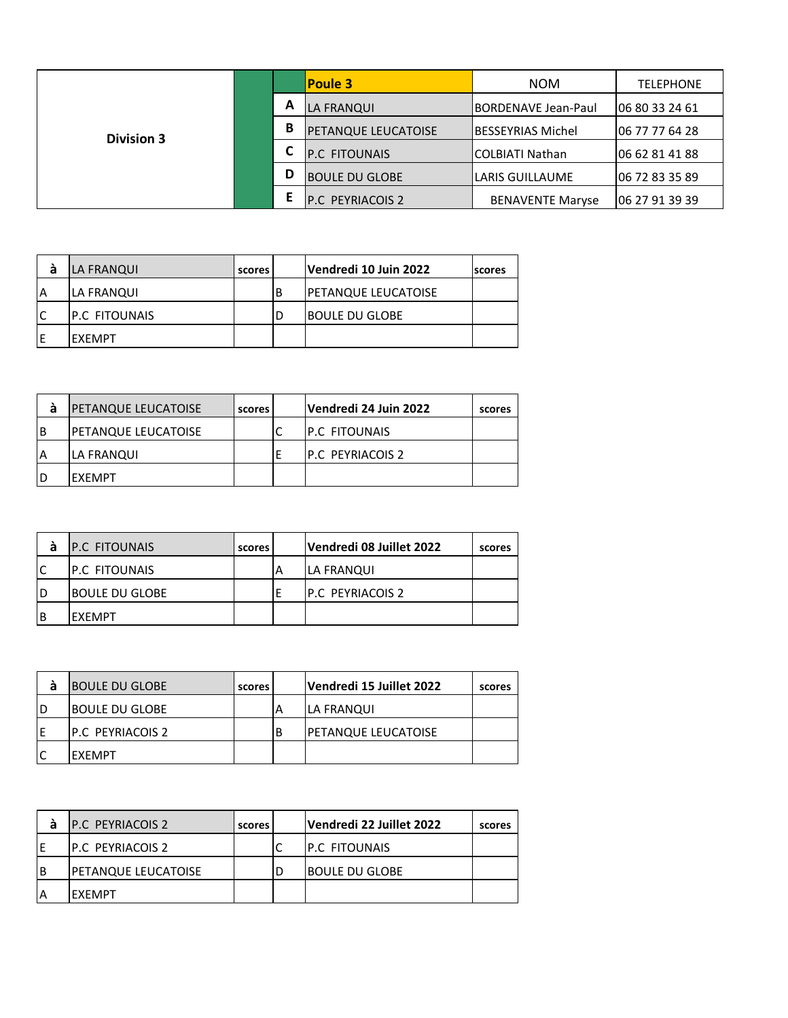|                   |   |   | <b>Poule 3</b>             | <b>NOM</b>                 | <b>TELEPHONE</b> |
|-------------------|---|---|----------------------------|----------------------------|------------------|
|                   | A |   | LA FRANQUI                 | <b>BORDENAVE Jean-Paul</b> | 06 80 33 24 61   |
| <b>Division 3</b> |   | В | <b>PETANQUE LEUCATOISE</b> | lBESSEYRIAS Michel         | 06 77 77 64 28   |
|                   |   |   | <b>P.C FITOUNAIS</b>       | lCOLBIATI Nathan           | 06 62 81 41 88   |
|                   |   | D | <b>BOULE DU GLOBE</b>      | LARIS GUILLAUME            | 06 72 83 35 89   |
|                   |   |   | <b>P.C PEYRIACOIS 2</b>    | <b>BENAVENTE Maryse</b>    | 06 27 91 39 39   |

| a  | LA FRANQUI           | scores |   | Vendredi 10 Juin 2022 | <b>scores</b> |
|----|----------------------|--------|---|-----------------------|---------------|
| ΙA | LA FRANQUI           |        | B | PETANQUE LEUCATOISE   |               |
| lC | <b>P.C FITOUNAIS</b> |        | D | IBOULE DU GLOBE       |               |
| ١E | IEXEMPT              |        |   |                       |               |
|    |                      |        |   |                       |               |

| а        | <b>IPETANQUE LEUCATOISE</b> | scores | Vendredi 24 Juin 2022    | scores |
|----------|-----------------------------|--------|--------------------------|--------|
| <b>B</b> | <b>IPETANQUE LEUCATOISE</b> |        | <b>IP.C FITOUNAIS</b>    |        |
| ΙA       | ILA FRANQUI                 |        | <b>IP.C PEYRIACOIS 2</b> |        |
| ID       | <b>FXFMPT</b>               |        |                          |        |

| a  | <b>P.C FITOUNAIS</b>  | scores | Vendredi 08 Juillet 2022 | scores |
|----|-----------------------|--------|--------------------------|--------|
| lC | <b>IP.C FITOUNAIS</b> |        | <b>LA FRANQUI</b>        |        |
| ID | <b>BOULE DU GLOBE</b> |        | <b>IP.C PEYRIACOIS 2</b> |        |
| ΙB | IFXFMPT               |        |                          |        |

| а  | <b>BOULE DU GLOBE</b>    | scores | Vendredi 15 Juillet 2022   | scores |
|----|--------------------------|--------|----------------------------|--------|
| ID | <b>BOULE DU GLOBE</b>    |        | ILA FRANQUI                |        |
| ΙE | <b>IP.C PEYRIACOIS 2</b> |        | <b>PETANQUE LEUCATOISE</b> |        |
| lC | IEXEMPT                  |        |                            |        |

| а        | <b>P.C. PEYRIACOIS 2</b>   | scores | Vendredi 22 Juillet 2022 | scores |
|----------|----------------------------|--------|--------------------------|--------|
| F        | <b>IP.C PEYRIACOIS 2</b>   |        | IP.C FITOUNAIS           |        |
| <b>B</b> | <b>PETANQUE LEUCATOISE</b> |        | IBOULE DU GLOBE          |        |
|          | IFXFMPT                    |        |                          |        |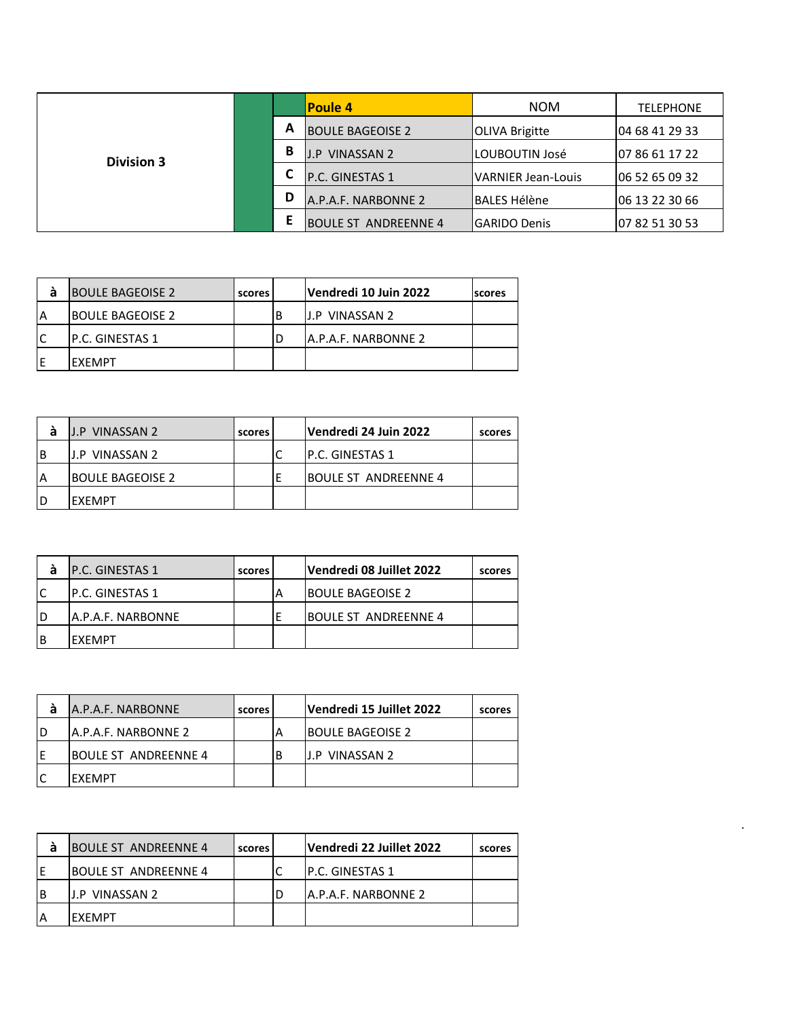|                   |   |                         | <b>Poule 4</b>              | <b>NOM</b>            | <b>TELEPHONE</b> |
|-------------------|---|-------------------------|-----------------------------|-----------------------|------------------|
|                   | A | <b>BOULE BAGEOISE 2</b> | <b>OLIVA Brigitte</b>       | 04 68 41 29 33        |                  |
| <b>Division 3</b> |   | В                       | <b>VINASSAN 2</b><br>J.P.   | LOUBOUTIN José        | 07 86 61 17 22   |
|                   |   |                         | <b>P.C. GINESTAS 1</b>      | VARNIER Jean-Louis    | 06 52 65 09 32   |
|                   |   | D                       | A.P.A.F. NARBONNE 2         | <b>l</b> BALES Hélène | 06 13 22 30 66   |
|                   |   |                         | <b>BOULE ST ANDREENNE 4</b> | lGARIDO Denis         | 07 82 51 30 53   |

| а | <b>BOULE BAGEOISE 2</b> | scores | Vendredi 10 Juin 2022       | <b>Iscores</b> |
|---|-------------------------|--------|-----------------------------|----------------|
| A | <b>BOULE BAGEOISE 2</b> |        | <b>J.P VINASSAN 2</b>       |                |
|   | IP.C. GINESTAS 1        |        | <b>JA.P.A.F. NARBONNE 2</b> |                |
| Е | IFXFMPT                 |        |                             |                |

| á              | IJ.P VINASSAN 2         | scores |   | Vendredi 24 Juin 2022       | scores |
|----------------|-------------------------|--------|---|-----------------------------|--------|
| B              | <b>J.P VINASSAN 2</b>   |        | Ċ | IP.C. GINESTAS 1            |        |
| $\overline{A}$ | <b>BOULE BAGEOISE 2</b> |        | Е | <b>BOULE ST ANDREENNE 4</b> |        |
| D              | <b>EXEMPT</b>           |        |   |                             |        |
|                |                         |        |   |                             |        |

|   | IP.C. GINESTAS 1   | scores | Vendredi 08 Juillet 2022 | scores |
|---|--------------------|--------|--------------------------|--------|
|   | IP.C. GINESTAS 1   |        | <b>IBOULE BAGEOISE 2</b> |        |
| D | IA.P.A.F. NARBONNE |        | IBOULE ST ANDREENNE 4    |        |
| B | <b>IFXFMPT</b>     |        |                          |        |

| а | A.P.A.F. NARBONNE           | scores | Vendredi 15 Juillet 2022 | scores |
|---|-----------------------------|--------|--------------------------|--------|
|   | <b>JA.P.A.F. NARBONNE 2</b> |        | <b>BOULE BAGEOISE 2</b>  |        |
|   | <b>BOULE ST ANDREENNE 4</b> |        | IJ.P VINASSAN 2          |        |
|   | IFXFMPT                     |        |                          |        |

| а | <b>BOULE ST ANDREENNE 4</b> | scores | Vendredi 22 Juillet 2022 | scores |
|---|-----------------------------|--------|--------------------------|--------|
|   | <b>BOULE ST ANDREENNE 4</b> |        | IP.C. GINESTAS 1         |        |
| B | IJ.P VINASSAN 2             |        | IA.P.A.F. NARBONNE 2     |        |
| A | IFXFMPT                     |        |                          |        |

.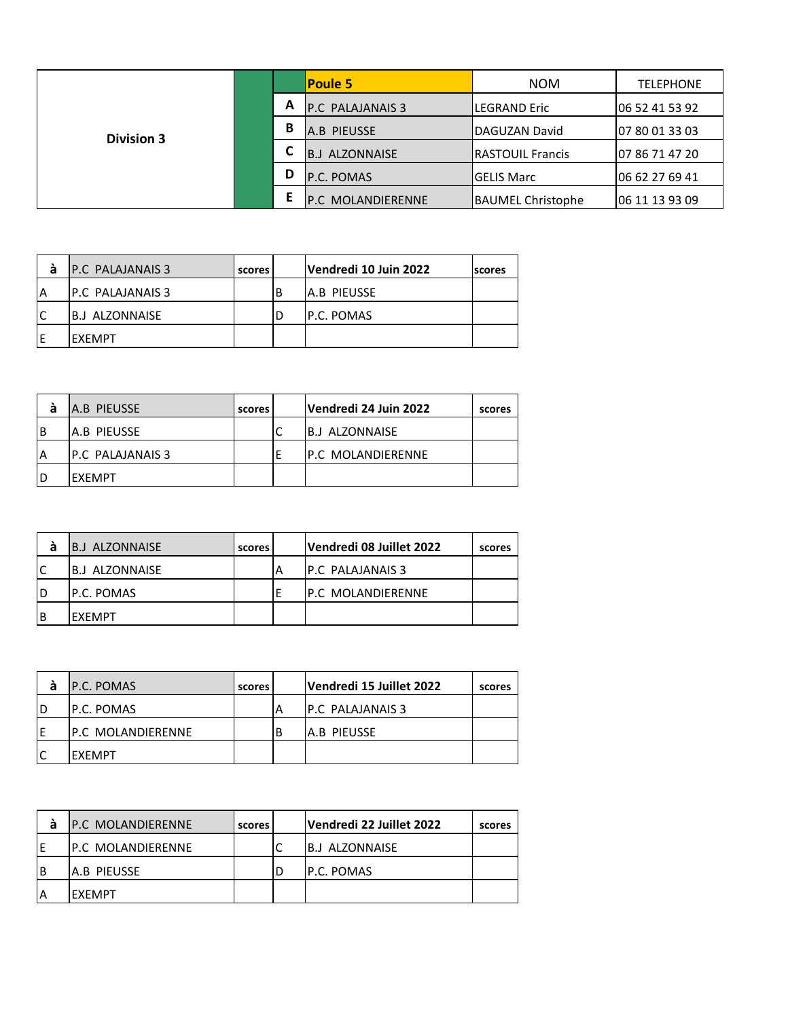|                   |   | <b>Poule 5</b>           | <b>NOM</b>               | <b>TELEPHONE</b> |
|-------------------|---|--------------------------|--------------------------|------------------|
|                   | A | <b>P.C. PALAJANAIS 3</b> | LEGRAND Eric             | 06 52 41 53 92   |
| <b>Division 3</b> | B | A.B PIEUSSE              | DAGUZAN David            | 07 80 01 33 03   |
|                   |   | <b>B.J ALZONNAISE</b>    | <b>IRASTOUIL Francis</b> | 07 86 71 47 20   |
|                   | D | P.C. POMAS               | lGELIS Marc              | 106 62 27 69 41  |
|                   |   | <b>P.C MOLANDIERENNE</b> | <b>BAUMEL Christophe</b> | 06 11 13 93 09   |

| а  | <b>P.C. PALAJANAIS 3</b>  | scores |   | Vendredi 10 Juin 2022 | scores |
|----|---------------------------|--------|---|-----------------------|--------|
| ΙA | <b>IP.C. PALAJANAIS 3</b> |        | В | <b>JA.B PIEUSSE</b>   |        |
| C  | IB.J ALZONNAISE           |        |   | <b>P.C. POMAS</b>     |        |
| F  | IEXEMPT                   |        |   |                       |        |

| а        | A.B PIEUSSE               | scores | Vendredi 24 Juin 2022     | scores |
|----------|---------------------------|--------|---------------------------|--------|
| <b>B</b> | IA.B PIEUSSE              |        | IB.J ALZONNAISE           |        |
| <b>A</b> | <b>IP.C. PALAJANAIS 3</b> |        | <b>IP.C MOLANDIERENNE</b> |        |
| ID       | <b>FXFMPT</b>             |        |                           |        |

| á   | B.J ALZONNAISE  | scores | Vendredi 08 Juillet 2022  | scores |
|-----|-----------------|--------|---------------------------|--------|
| lC  | IB.J ALZONNAISE |        | <b>IP.C PALAJANAIS 3</b>  |        |
| ID  | IP.C. POMAS     |        | <b>IP.C MOLANDIERENNE</b> |        |
| l B | IFXFMPT         |        |                           |        |

| a  | <b>P.C. POMAS</b>         | scores | Vendredi 15 Juillet 2022 | scores |
|----|---------------------------|--------|--------------------------|--------|
| ID | IP.C. POMAS               |        | <b>IP.C PALAJANAIS 3</b> |        |
| ΙE | <b>IP.C MOLANDIERENNE</b> |        | IA.B PIEUSSE             |        |
| lC | IEXEMPT                   |        |                          |        |

| а  | <b>IP.C MOLANDIERENNE</b> | scores | Vendredi 22 Juillet 2022 | scores |
|----|---------------------------|--------|--------------------------|--------|
| IF | <b>IP.C MOLANDIERENNE</b> |        | IB.J ALZONNAISE          |        |
| ΙB | IA.B PIEUSSE              |        | P.C. POMAS               |        |
| A  | IFXFMPT                   |        |                          |        |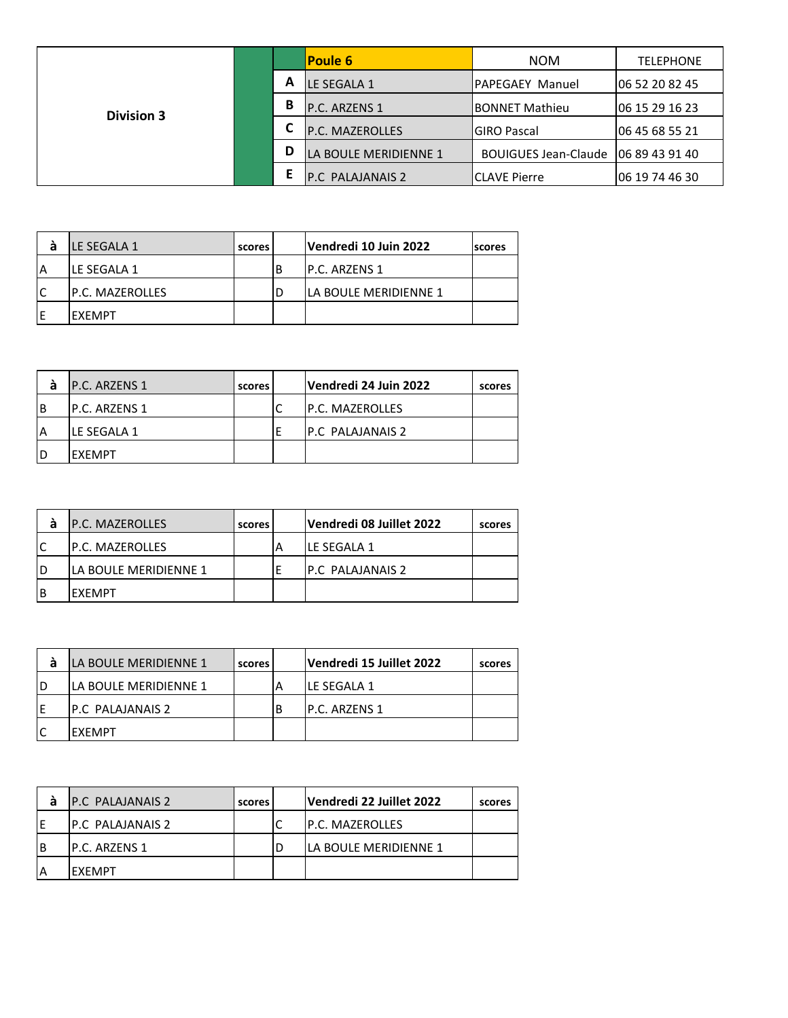|                   |   |                       | <b>Poule 6</b>              | <b>NOM</b>              | <b>TELEPHONE</b> |
|-------------------|---|-----------------------|-----------------------------|-------------------------|------------------|
|                   |   | A                     | LE SEGALA 1                 | <b>IPAPEGAEY Manuel</b> | 106 52 20 82 45  |
| <b>Division 3</b> |   | В                     | P.C. ARZENS 1               | <b>IBONNET Mathieu</b>  | 06 15 29 16 23   |
|                   |   | L                     | P.C. MAZEROLLES             | <b>IGIRO Pascal</b>     | 06 45 68 55 21   |
|                   | D | LA BOULE MERIDIENNE 1 | <b>BOUIGUES Jean-Claude</b> | 06 89 43 91 40          |                  |
|                   |   | Е                     | P.C PALAJANAIS 2            | <b>ICLAVE Pierre</b>    | 06 19 74 46 30   |

| а  | ILE SEGALA 1            | scores |   | Vendredi 10 Juin 2022  | <b>scores</b> |
|----|-------------------------|--------|---|------------------------|---------------|
| A  | ILE SEGALA 1            |        | В | IP.C. ARZENS 1         |               |
| ۱C | <b>IP.C. MAZEROLLES</b> |        |   | lla boule meridienne 1 |               |
| Е  | IEXEMPT                 |        |   |                        |               |

| а  | <b>P.C. ARZENS 1</b> | scores | Vendredi 24 Juin 2022     | scores |
|----|----------------------|--------|---------------------------|--------|
| B  | IP.C. ARZENS 1       |        | <b>IP.C. MAZEROLLES</b>   |        |
| ΙA | ILE SEGALA 1         |        | <b>IP.C. PALAJANAIS 2</b> |        |
| D  | IFXFMPT              |        |                           |        |

| а  | <b>P.C. MAZEROLLES</b>       | scores | Vendredi 08 Juillet 2022 | scores |
|----|------------------------------|--------|--------------------------|--------|
| lC | <b>IP.C. MAZEROLLES</b>      |        | <b>ILE SEGALA 1</b>      |        |
| ID | <b>LA BOULE MERIDIENNE 1</b> |        | <b>IP.C PALAJANAIS 2</b> |        |
| ΙB | IEXEMPT                      |        |                          |        |

|    | LA BOULE MERIDIENNE 1  | scores | Vendredi 15 Juillet 2022 | scores |
|----|------------------------|--------|--------------------------|--------|
| ID | lla boule meridienne 1 |        | ILE SEGALA 1             |        |
| F  | IP.C PALAJANAIS 2      |        | IP.C. ARZENS 1           |        |
|    | IFXFMPT                |        |                          |        |

| а | <b>P.C. PALAJANAIS 2</b> | scores | Vendredi 22 Juillet 2022     | scores |
|---|--------------------------|--------|------------------------------|--------|
|   | IP.C PALAJANAIS 2        |        | <b>IP.C. MAZEROLLES</b>      |        |
| B | IP.C. ARZENS 1           |        | <b>LA BOULE MERIDIENNE 1</b> |        |
|   | <b>IFXFMPT</b>           |        |                              |        |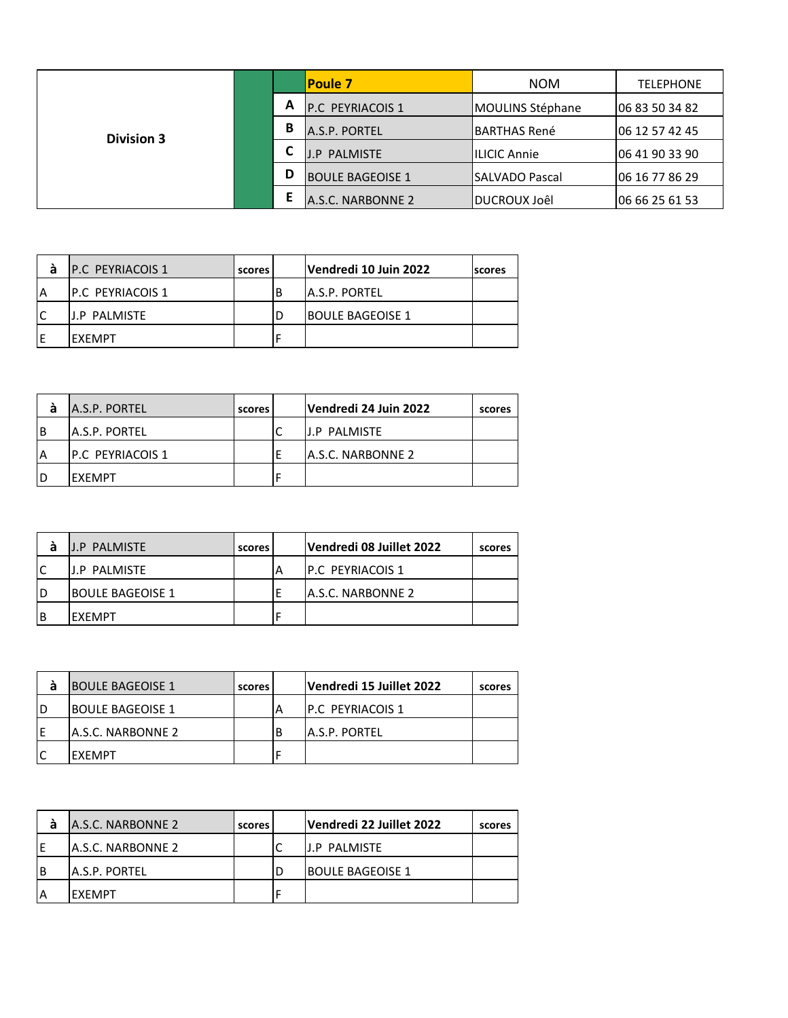|                   |   | <b>Poule 7</b>          | <b>NOM</b>              | <b>TELEPHONE</b> |
|-------------------|---|-------------------------|-------------------------|------------------|
|                   | A | <b>P.C PEYRIACOIS 1</b> | <b>MOULINS Stéphane</b> | 06 83 50 34 82   |
| <b>Division 3</b> | B | A.S.P. PORTEL           | IBARTHAS René           | 106 12 57 42 45  |
|                   |   | <b>J.P PALMISTE</b>     | ILICIC Annie            | 06 41 90 33 90   |
|                   | D | <b>BOULE BAGEOISE 1</b> | <b>SALVADO Pascal</b>   | 06 16 77 86 29   |
|                   |   | A.S.C. NARBONNE 2       | <b>IDUCROUX Joêl</b>    | 06 66 25 61 53   |

| а  | <b>IP.C PEYRIACOIS 1</b> | scores l |    | Vendredi 10 Juin 2022   | <b>Iscores</b> |
|----|--------------------------|----------|----|-------------------------|----------------|
| ۱A | IP.C PEYRIACOIS 1        |          | ΙB | IA.S.P. PORTEL          |                |
| C  | IJ.P PALMISTE            |          |    | <b>BOULE BAGEOISE 1</b> |                |
|    | IFXFMPT                  |          |    |                         |                |

|          | A.S.P. PORTEL     | scores | Vendredi 24 Juin 2022 | scores |
|----------|-------------------|--------|-----------------------|--------|
| <b>B</b> | A.S.P. PORTEL     |        | IJ.P PALMISTE         |        |
| ۱A       | IP.C PEYRIACOIS 1 |        | IA.S.C. NARBONNE 2    |        |
| ID       | IFXFMPT           |        |                       |        |

| a   | <b>J.P PALMISTE</b>     | scores | Vendredi 08 Juillet 2022  | scores |
|-----|-------------------------|--------|---------------------------|--------|
| lC  | IJ.P PALMISTE           |        | <b>IP.C PEYRIACOIS 1</b>  |        |
| ID  | <b>BOULE BAGEOISE 1</b> |        | <b>JA.S.C. NARBONNE 2</b> |        |
| l B | IFXFMPT                 |        |                           |        |

| а  | <b>BOULE BAGEOISE 1</b>   | scores | Vendredi 15 Juillet 2022 | scores |
|----|---------------------------|--------|--------------------------|--------|
| ID | <b>IBOULE BAGEOISE 1</b>  |        | IP.C PEYRIACOIS 1        |        |
| ΙE | <b>JA.S.C. NARBONNE 2</b> |        | A.S.P. PORTEL            |        |
| lC | IFXFMPT                   |        |                          |        |

| а | A.S.C. NARBONNE 2         | scores | Vendredi 22 Juillet 2022 | scores |
|---|---------------------------|--------|--------------------------|--------|
|   | <b>JA.S.C. NARBONNE 2</b> |        | <b>J.P PALMISTE</b>      |        |
| B | IA.S.P. PORTEL            |        | <b>BOULE BAGEOISE 1</b>  |        |
|   | IFXFMPT                   |        |                          |        |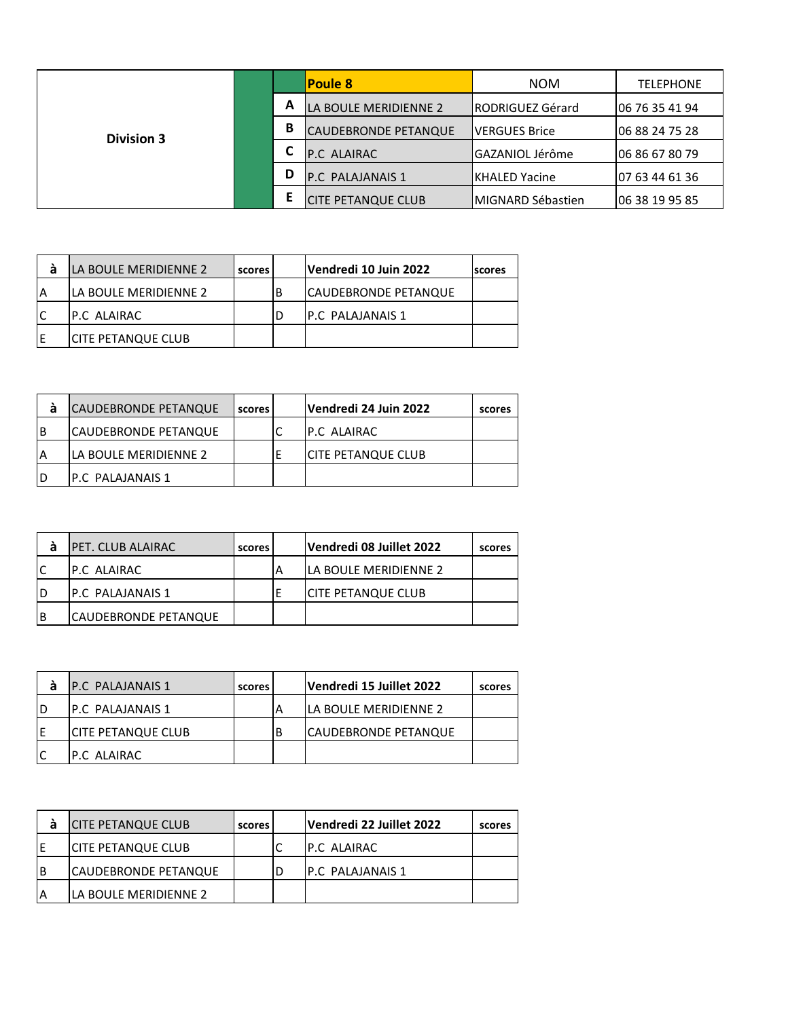|                   |   |   | <b>Poule 8</b>            | <b>NOM</b>                | <b>TELEPHONE</b> |
|-------------------|---|---|---------------------------|---------------------------|------------------|
|                   | А |   | LA BOULE MERIDIENNE 2     | <b>IRODRIGUEZ Gérard</b>  | 106 76 35 41 94  |
| <b>Division 3</b> |   | В | CAUDEBRONDE PETANQUE      | lVERGUES Brice            | 06 88 24 75 28   |
|                   |   |   | <b>P.C ALAIRAC</b>        | lGAZANIOL Jérôme          | 06 86 67 80 79   |
|                   |   | D | <b>P.C. PALAJANAIS 1</b>  | IKHALED Yacine            | 07 63 44 61 36   |
|                   |   | Е | <b>CITE PETANQUE CLUB</b> | <b>IMIGNARD Sébastien</b> | 06 38 19 95 85   |

| á  | LA BOULE MERIDIENNE 2     | scores |   | Vendredi 10 Juin 2022 | <b>scores</b> |
|----|---------------------------|--------|---|-----------------------|---------------|
| ΙA | lla boule meridienne 2    |        | B | CAUDEBRONDE PETANQUE  |               |
| IC | <b>P.C ALAIRAC</b>        |        | D | IP.C PALAJANAIS 1     |               |
| ١E | <b>CITE PETANQUE CLUB</b> |        |   |                       |               |
|    |                           |        |   |                       |               |

| а        | <b>CAUDEBRONDE PETANQUE</b> | scores | Vendredi 24 Juin 2022     | scores |
|----------|-----------------------------|--------|---------------------------|--------|
| <b>B</b> | ICAUDEBRONDE PETANQUE       |        | <b>IP.C ALAIRAC</b>       |        |
|          | LA BOULE MERIDIENNE 2       |        | <b>CITE PETANQUE CLUB</b> |        |
| ID       | IP.C PALAJANAIS 1           |        |                           |        |

| а  | <b>IPET. CLUB ALAIRAC</b> | scores | Vendredi 08 Juillet 2022     | scores |
|----|---------------------------|--------|------------------------------|--------|
| lC | <b>IP.C ALAIRAC</b>       |        | <b>LA BOULE MERIDIENNE 2</b> |        |
| ID | <b>IP.C PALAJANAIS 1</b>  |        | <b>ICITE PETANQUE CLUB</b>   |        |
| ΙB | ICAUDEBRONDE PETANQUE     |        |                              |        |

| а  | <b>P.C. PALAJANAIS 1</b>  | scores | Vendredi 15 Juillet 2022     | scores |
|----|---------------------------|--------|------------------------------|--------|
| ID | <b>IP.C PALAJANAIS 1</b>  |        | <b>LA BOULE MERIDIENNE 2</b> |        |
| ΙE | <b>CITE PETANQUE CLUB</b> |        | <b>CAUDEBRONDE PETANQUE</b>  |        |
| lC | IP.C ALAIRAC              |        |                              |        |

| а | <b>CITE PETANQUE CLUB</b>  | scores | Vendredi 22 Juillet 2022 | scores |
|---|----------------------------|--------|--------------------------|--------|
|   | <b>ICITE PETANQUE CLUB</b> |        | <b>P.C ALAIRAC</b>       |        |
| B | CAUDEBRONDE PETANQUE       |        | <b>P.C. PALAJANAIS 1</b> |        |
| A | LA BOULE MERIDIENNE 2      |        |                          |        |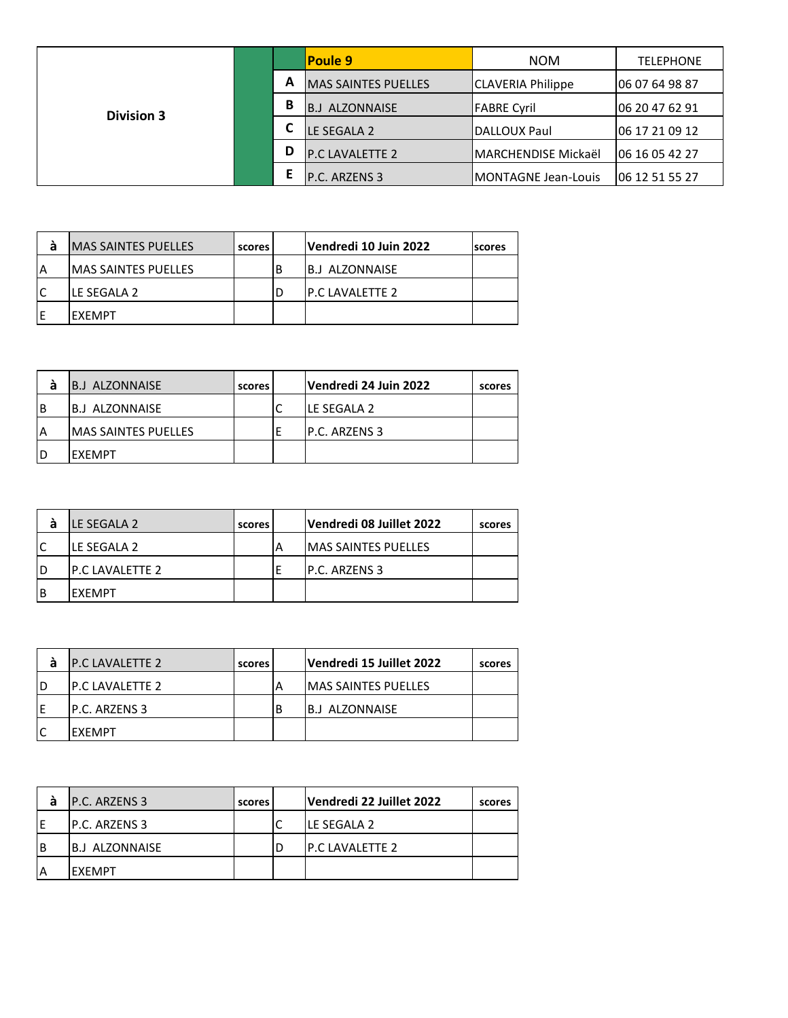|                   |   |   | <b>Poule 9</b>             | <b>NOM</b>               | <b>TELEPHONE</b> |
|-------------------|---|---|----------------------------|--------------------------|------------------|
|                   |   | A | <b>MAS SAINTES PUELLES</b> | <b>CLAVERIA Philippe</b> | 06 07 64 98 87   |
| <b>Division 3</b> | В |   | ALZONNAISE<br>IB.J         | <b>FABRE Cyril</b>       | 06 20 47 62 91   |
|                   |   |   | LE SEGALA 2                | IDALLOUX Paul            | 106 17 21 09 12  |
|                   |   | D | <b>P.C LAVALETTE 2</b>     | lMARCHENDISE Mickaël     | 106 16 05 42 27  |
|                   |   |   | P.C. ARZENS 3              | IMONTAGNE Jean-Louis     | 06 12 51 55 27   |

| а  | <b>IMAS SAINTES PUELLES</b> | scores | Vendredi 10 Juin 2022 | <b>Iscores</b> |
|----|-----------------------------|--------|-----------------------|----------------|
| A  | <b>IMAS SAINTES PUELLES</b> |        | IB.J ALZONNAISE       |                |
| ١C | LE SEGALA 2                 |        | IP.C LAVALETTE 2      |                |
| Е  | IFXFMPT                     |        |                       |                |

| а        | B.J ALZONNAISE       | scores | Vendredi 24 Juin 2022 | scores |
|----------|----------------------|--------|-----------------------|--------|
| <b>B</b> | IB.J ALZONNAISE      |        | lle segala 2          |        |
| ۱A       | IMAS SAINTES PUELLES |        | <b>P.C. ARZENS 3</b>  |        |
| ID       | <b>FXFMPT</b>        |        |                       |        |

| а  | <b>ILE SEGALA 2</b>     | scores | Vendredi 08 Juillet 2022    | scores |
|----|-------------------------|--------|-----------------------------|--------|
| lC | <b>ILE SEGALA 2</b>     |        | <b>IMAS SAINTES PUELLES</b> |        |
| ID | <b>IP.C LAVALETTE 2</b> |        | IP.C. ARZENS 3              |        |
| IΒ | IEXEMPT                 |        |                             |        |

| а | <b>IP.C LAVALETTE 2</b> | scores | Vendredi 15 Juillet 2022    | scores |
|---|-------------------------|--------|-----------------------------|--------|
|   | <b>IP.C LAVALETTE 2</b> |        | <b>IMAS SAINTES PUELLES</b> |        |
|   | <b>P.C. ARZENS 3</b>    |        | <b>B.J ALZONNAISE</b>       |        |
|   | IFXFMPT                 |        |                             |        |

| а | <b>IP.C. ARZENS 3</b> | scores | Vendredi 22 Juillet 2022 | scores |
|---|-----------------------|--------|--------------------------|--------|
|   | IP.C. ARZENS 3        |        | <b>ILE SEGALA 2</b>      |        |
| B | IB.J ALZONNAISE       |        | <b>IP.C LAVALETTE 2</b>  |        |
|   | IFXFMPT               |        |                          |        |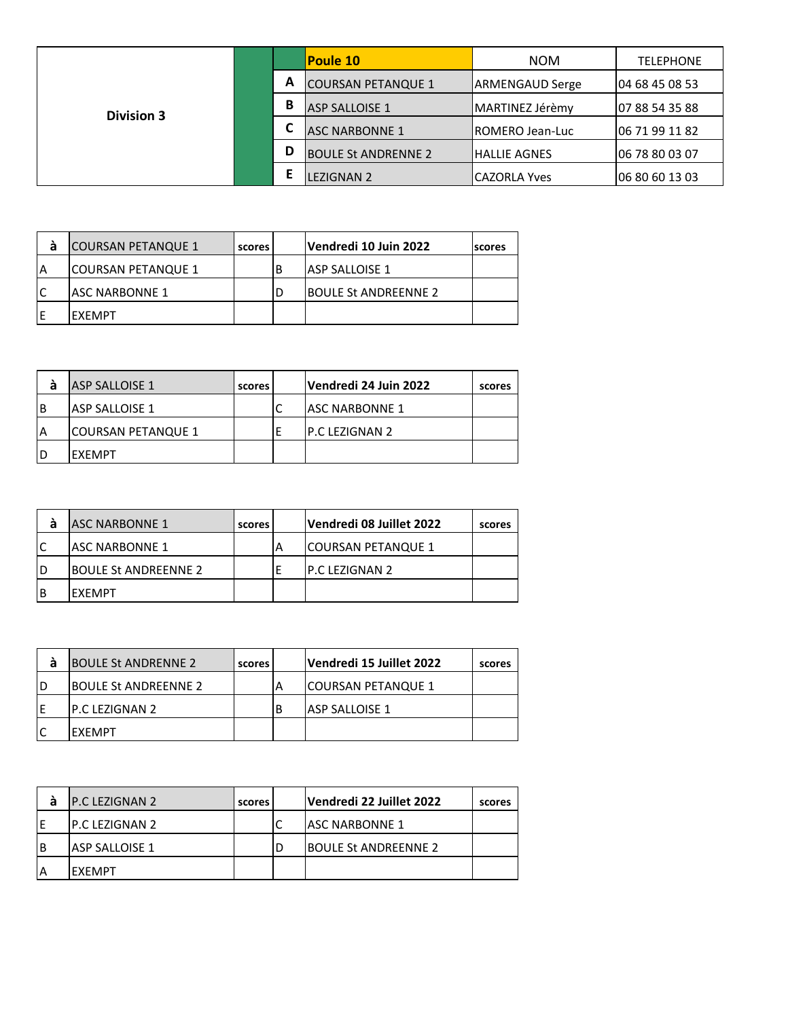|                   |        | <b>Poule 10</b>            | <b>NOM</b>              | <b>TELEPHONE</b> |
|-------------------|--------|----------------------------|-------------------------|------------------|
|                   | А<br>B | <b>COURSAN PETANQUE 1</b>  | <b>ARMENGAUD Serge</b>  | 04 68 45 08 53   |
| <b>Division 3</b> |        | <b>ASP SALLOISE 1</b>      | IMARTINEZ Jérèmv        | 07 88 54 35 88   |
|                   |        | <b>ASC NARBONNE 1</b>      | <b>IROMERO Jean-Luc</b> | 06 71 99 11 82   |
|                   | D      | <b>BOULE St ANDRENNE 2</b> | <b>IHALLIE AGNES</b>    | 06 78 80 03 07   |
|                   |        | <b>LEZIGNAN 2</b>          | lCAZORLA Yves           | 106 80 60 13 03  |

| а | <b>COURSAN PETANQUE 1</b> | scores | Vendredi 10 Juin 2022       | <b>Iscores</b> |
|---|---------------------------|--------|-----------------------------|----------------|
| A | <b>COURSAN PETANQUE 1</b> |        | IASP SALLOISE 1             |                |
|   | IASC NARBONNE 1           |        | <b>BOULE St ANDREENNE 2</b> |                |
| Е | IFXFMPT                   |        |                             |                |

|          | ASP SALLOISE 1     | scores | Vendredi 24 Juin 2022  | scores |
|----------|--------------------|--------|------------------------|--------|
| <b>B</b> | IASP SALLOISE 1    |        | <b>JASC NARBONNE 1</b> |        |
| ۱A       | COURSAN PETANQUE 1 |        | <b>IP.C LEZIGNAN 2</b> |        |
| ID       | <b>FXFMPT</b>      |        |                        |        |

|   | <b>ASC NARBONNE 1</b>        | scores |   | Vendredi 08 Juillet 2022 | scores |
|---|------------------------------|--------|---|--------------------------|--------|
|   | IASC NARBONNE 1              |        | А | COURSAN PETANQUE 1       |        |
| D | <b>IBOULE St ANDREENNE 2</b> |        |   | P.C LEZIGNAN 2           |        |
| В | IEXEMPT                      |        |   |                          |        |

| а  | <b>BOULE St ANDRENNE 2</b>  | scores | Vendredi 15 Juillet 2022  | scores |
|----|-----------------------------|--------|---------------------------|--------|
| ID | <b>BOULE St ANDREENNE 2</b> |        | <b>COURSAN PETANQUE 1</b> |        |
| E  | IP.C LEZIGNAN 2             |        | <b>JASP SALLOISE 1</b>    |        |
|    | IFXFMPT                     |        |                           |        |

| а | <b>IP.C LEZIGNAN 2</b> | scores | Vendredi 22 Juillet 2022    | scores |
|---|------------------------|--------|-----------------------------|--------|
|   | IP.C LEZIGNAN 2        |        | <b>JASC NARBONNE 1</b>      |        |
| B | <b>JASP SALLOISE 1</b> |        | <b>BOULE St ANDREENNE 2</b> |        |
|   | <b>IFXFMPT</b>         |        |                             |        |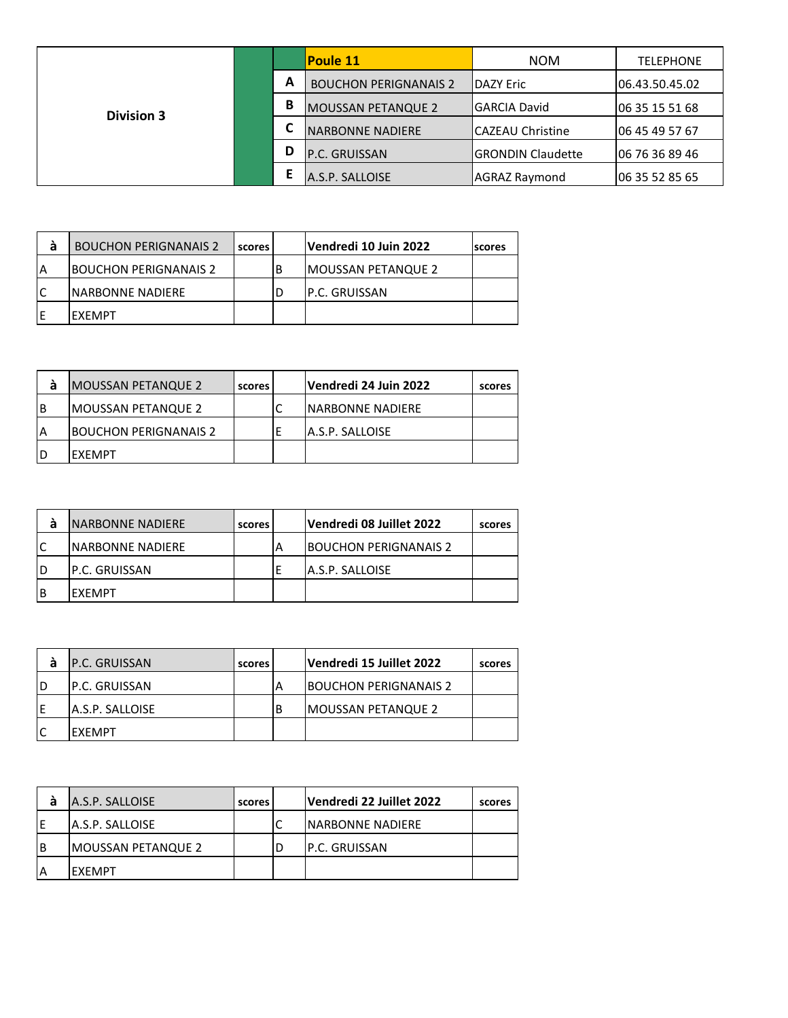|                   |        |                           | <b>Poule 11</b>              | <b>NOM</b>        | <b>TELEPHONE</b> |
|-------------------|--------|---------------------------|------------------------------|-------------------|------------------|
|                   | А<br>В |                           | <b>BOUCHON PERIGNANAIS 2</b> | <b>IDAZY Eric</b> | 106.43.50.45.02  |
| <b>Division 3</b> |        | <b>MOUSSAN PETANQUE 2</b> | <b>GARCIA David</b>          | 06 35 15 51 68    |                  |
|                   |        |                           | <b>NARBONNE NADIERE</b>      | CAZEAU Christine  | 06 45 49 57 67   |
|                   | D      | P.C. GRUISSAN             | <b>IGRONDIN Claudette</b>    | 06 76 36 89 46    |                  |
|                   |        |                           | A.S.P. SALLOISE              | AGRAZ Raymond     | 06 35 52 85 65   |

| а | <b>BOUCHON PERIGNANAIS 2</b> | scores | Vendredi 10 Juin 2022     | <b>Iscores</b> |
|---|------------------------------|--------|---------------------------|----------------|
| A | IBOUCHON PERIGNANAIS 2       |        | <b>MOUSSAN PETANQUE 2</b> |                |
|   | <b>INARBONNE NADIERE</b>     |        | IP.C. GRUISSAN            |                |
|   | IFXFMPT                      |        |                           |                |

| а  | <b>MOUSSAN PETANQUE 2</b>    | scores | Vendredi 24 Juin 2022   | scores |
|----|------------------------------|--------|-------------------------|--------|
| ιB | <b>IMOUSSAN PETANQUE 2</b>   |        | INARBONNE NADIERE       |        |
| A  | <b>BOUCHON PERIGNANAIS 2</b> |        | <b>JA.S.P. SALLOISE</b> |        |
| D  | IFXFMPT                      |        |                         |        |

| а  | <b>INARBONNE NADIERE</b> | scores | Vendredi 08 Juillet 2022     | scores |
|----|--------------------------|--------|------------------------------|--------|
| lC | <b>INARBONNE NADIERE</b> |        | <b>BOUCHON PERIGNANAIS 2</b> |        |
| ID | IP.C. GRUISSAN           |        | A.S.P. SALLOISE              |        |
| IΒ | IEXEMPT                  |        |                              |        |

|    | <b>IP.C. GRUISSAN</b> | scores | Vendredi 15 Juillet 2022     | scores |
|----|-----------------------|--------|------------------------------|--------|
| ID | IP.C. GRUISSAN        |        | <b>BOUCHON PERIGNANAIS 2</b> |        |
| E  | IA.S.P. SALLOISE      |        | <b>IMOUSSAN PETANQUE 2</b>   |        |
|    | IFXFMPT               |        |                              |        |

| а | A.S.P. SALLOISE           | scores | Vendredi 22 Juillet 2022 | scores |
|---|---------------------------|--------|--------------------------|--------|
|   | <b>A.S.P. SALLOISE</b>    |        | <b>INARBONNE NADIERE</b> |        |
| B | <b>MOUSSAN PETANQUE 2</b> |        | IP.C. GRUISSAN           |        |
|   | <b>IFXFMPT</b>            |        |                          |        |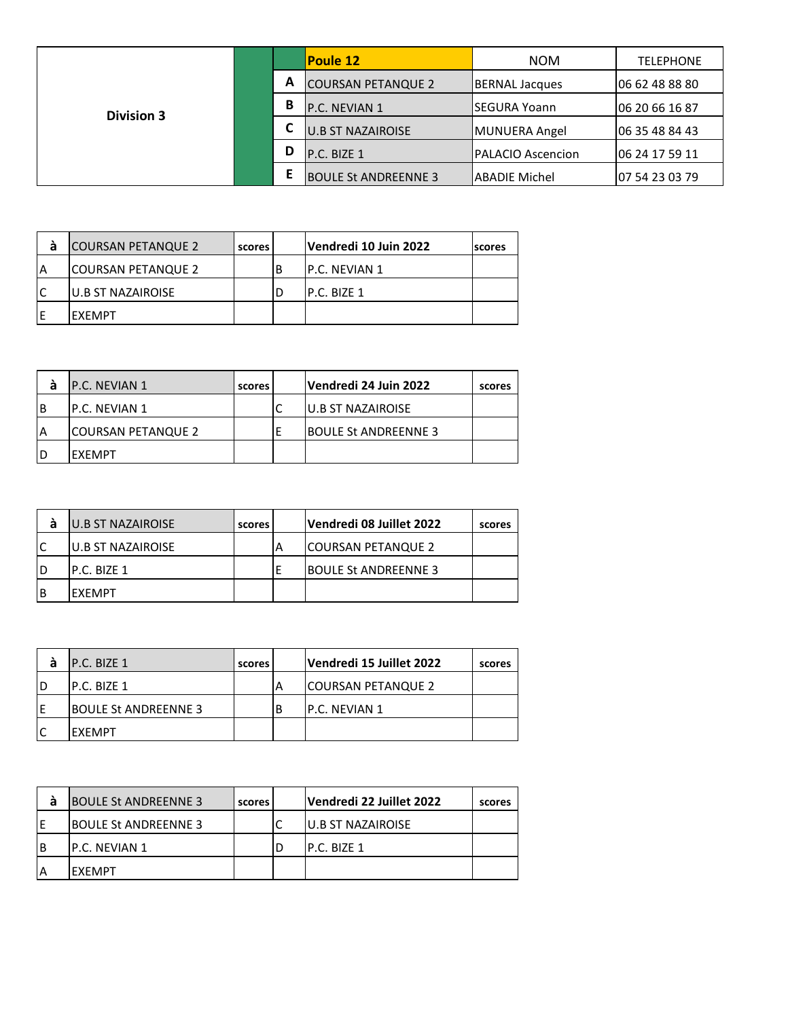|                   |        |   | <b>Poule 12</b>             | <b>NOM</b>                | <b>TELEPHONE</b> |
|-------------------|--------|---|-----------------------------|---------------------------|------------------|
|                   | A<br>В |   | <b>COURSAN PETANQUE 2</b>   | <b>IBERNAL Jacques</b>    | 06 62 48 88 80   |
| <b>Division 3</b> |        |   | P.C. NEVIAN 1               | ISEGURA Yoann             | 06 20 66 16 87   |
|                   |        |   | <b>U.B ST NAZAIROISE</b>    | MUNUERA Angel             | 06 35 48 84 43   |
|                   |        | D | P.C. BIZE 1                 | <b>IPALACIO Ascencion</b> | 06 24 17 59 11   |
|                   |        | Е | <b>BOULE St ANDREENNE 3</b> | <b>ABADIE Michel</b>      | 07 54 23 03 79   |

| á   | <b>COURSAN PETANQUE 2</b> | scores |    | Vendredi 10 Juin 2022 | scores |
|-----|---------------------------|--------|----|-----------------------|--------|
| ΙA  | COURSAN PETANQUE 2        |        | .B | <b>P.C. NEVIAN 1</b>  |        |
| IC  | IU.B ST NAZAIROISE        |        |    | IP.C. BIZE 1          |        |
| IE. | IEXEMPT                   |        |    |                       |        |

|          | <b>P.C. NEVIAN 1</b> | scores | Vendredi 24 Juin 2022       | scores |
|----------|----------------------|--------|-----------------------------|--------|
| <b>B</b> | IP.C. NEVIAN 1       |        | <b>IU.B ST NAZAIROISE</b>   |        |
| ۱A       | COURSAN PETANQUE 2   |        | <b>BOULE St ANDREENNE 3</b> |        |
| ID       | <b>FXFMPT</b>        |        |                             |        |

| а  | <b>U.B ST NAZAIROISE</b> | scores | Vendredi 08 Juillet 2022    | scores |
|----|--------------------------|--------|-----------------------------|--------|
| lC | <b>U.B ST NAZAIROISE</b> |        | <b>COURSAN PETANQUE 2</b>   |        |
| ID | IP.C. BIZE 1             |        | <b>BOULE St ANDREENNE 3</b> |        |
| ΙB | IEXEMPT                  |        |                             |        |

|    | IP.C. BIZE 1                | scores | Vendredi 15 Juillet 2022 | scores |
|----|-----------------------------|--------|--------------------------|--------|
| ID | IP.C. BIZE 1                |        | ICOURSAN PETANQUE 2      |        |
| ΙE | <b>BOULE St ANDREENNE 3</b> |        | IP.C. NEVIAN 1           |        |
|    | IFXFMPT                     |        |                          |        |

| а | <b>BOULE St ANDREENNE 3</b> | scores | Vendredi 22 Juillet 2022 | scores |
|---|-----------------------------|--------|--------------------------|--------|
|   | <b>BOULE St ANDREENNE 3</b> |        | <b>U.B ST NAZAIROISE</b> |        |
| B | IP.C. NEVIAN 1              |        | IP.C. BIZE 1             |        |
|   | <b>IFXFMPT</b>              |        |                          |        |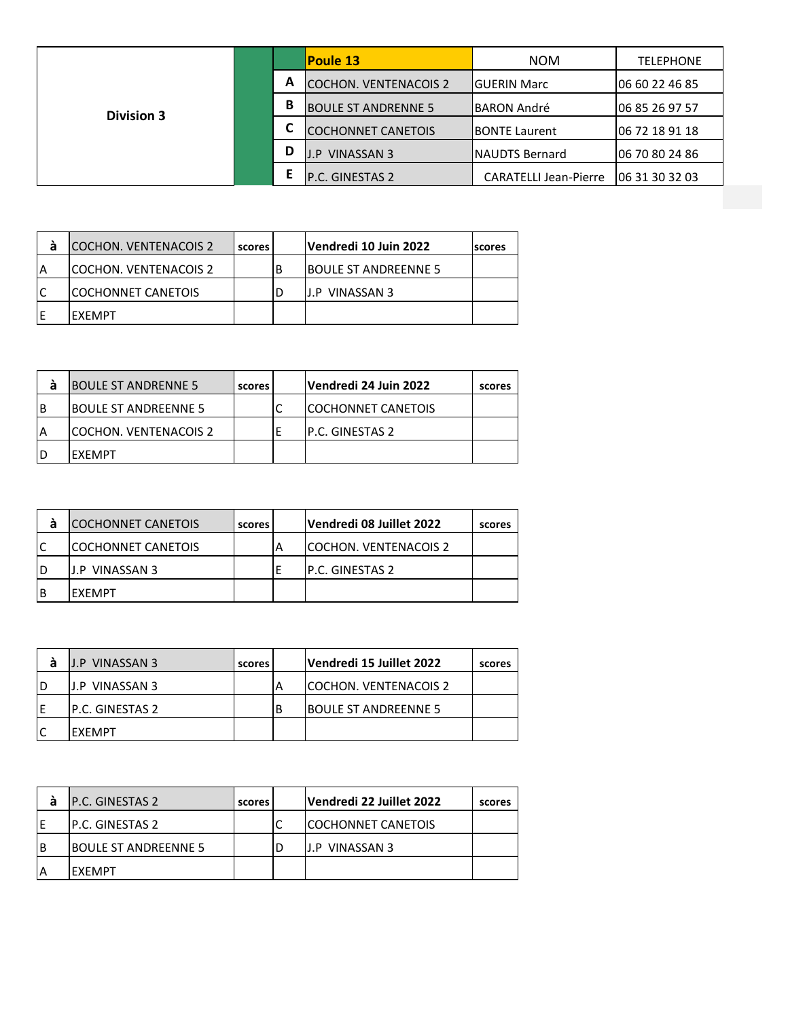| А<br>B<br><b>Division 3</b> | <b>COCHON. VENTENACOIS 2</b><br><b>BOULE ST ANDRENNE 5</b> | IGUERIN Marc                 | 06 60 22 46 85 |
|-----------------------------|------------------------------------------------------------|------------------------------|----------------|
|                             |                                                            |                              |                |
|                             |                                                            | <b>IBARON André</b>          | 06 85 26 97 57 |
| ⊾                           | <b>COCHONNET CANETOIS</b>                                  | <b>IBONTE Laurent</b>        | 06 72 18 91 18 |
| D                           | <b>J.P VINASSAN 3</b>                                      | <b>INAUDTS Bernard</b>       | 06 70 80 24 86 |
|                             | P.C. GINESTAS 2                                            | <b>CARATELLI Jean-Pierre</b> | 06 31 30 32 03 |

| а | <b>COCHON. VENTENACOIS 2</b> | scores | Vendredi 10 Juin 2022 | <b>scores</b> |
|---|------------------------------|--------|-----------------------|---------------|
|   | ICOCHON. VENTENACOIS 2       |        | IBOULE ST ANDREENNE 5 |               |
|   | <b>ICOCHONNET CANETOIS</b>   |        | IJ.P VINASSAN 3       |               |
|   | IFXFMPT                      |        |                       |               |

| á  | <b>BOULE ST ANDRENNE 5</b> | scores | Vendredi 24 Juin 2022     | scores |
|----|----------------------------|--------|---------------------------|--------|
| ΙB | IBOULE ST ANDREENNE 5      |        | <b>COCHONNET CANETOIS</b> |        |
| IA | lCOCHON. VENTENACOIS 2     |        | IP.C. GINESTAS 2          |        |
| ID | IEXEMPT                    |        |                           |        |
|    |                            |        |                           |        |

| a  | <b>COCHONNET CANETOIS</b>  | scores | Vendredi 08 Juillet 2022 | scores |
|----|----------------------------|--------|--------------------------|--------|
| lC | <b>ICOCHONNET CANETOIS</b> |        | ICOCHON. VENTENACOIS 2   |        |
| ID | IJ.P VINASSAN 3            |        | IP.C. GINESTAS 2         |        |
| ΙB | IEXEMPT                    |        |                          |        |

|    | <b>J.P VINASSAN 3</b>  | scores | Vendredi 15 Juillet 2022      | scores |
|----|------------------------|--------|-------------------------------|--------|
| ID | IJ.P VINASSAN 3        |        | <b>ICOCHON. VENTENACOIS 2</b> |        |
| ΙE | <b>P.C. GINESTAS 2</b> |        | <b>BOULE ST ANDREENNE 5</b>   |        |
|    | IFXFMPT                |        |                               |        |

| а | <b>P.C. GINESTAS 2</b>       | scores | Vendredi 22 Juillet 2022   | scores |
|---|------------------------------|--------|----------------------------|--------|
|   | IP.C. GINESTAS 2             |        | <b>ICOCHONNET CANETOIS</b> |        |
| B | <b>IBOULE ST ANDREENNE 5</b> |        | IJ.P VINASSAN 3            |        |
|   | <b>IFXFMPT</b>               |        |                            |        |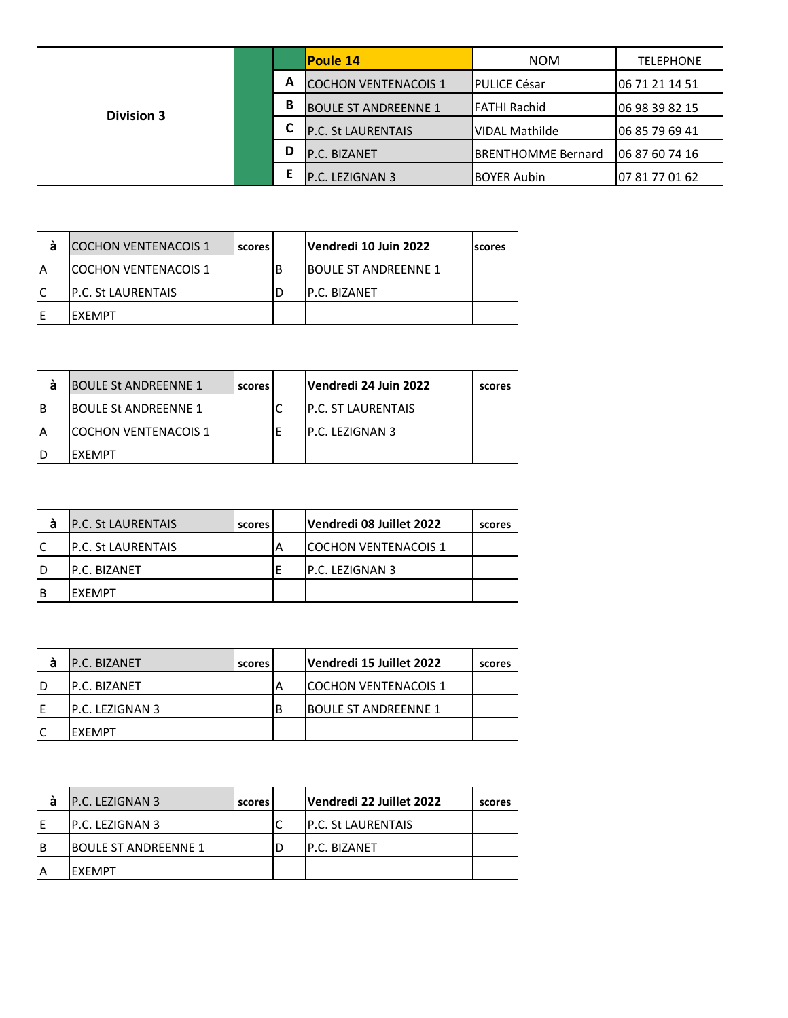|                   |        |                             | <b>Poule 14</b>             | <b>NOM</b>            | <b>TELEPHONE</b> |
|-------------------|--------|-----------------------------|-----------------------------|-----------------------|------------------|
|                   | A<br>В |                             | <b>COCHON VENTENACOIS 1</b> | <b>IPULICE César</b>  | 06 71 21 14 51   |
| <b>Division 3</b> |        | <b>BOULE ST ANDREENNE 1</b> | <b>IFATHI Rachid</b>        | 06 98 39 82 15        |                  |
|                   |        |                             | <b>P.C. St LAURENTAIS</b>   | <b>VIDAL Mathilde</b> | 06 85 79 69 41   |
|                   | D      | P.C. BIZANET                | <b>IBRENTHOMME Bernard</b>  | 06 87 60 74 16        |                  |
|                   |        |                             | P.C. LEZIGNAN 3             | <b>BOYER Aubin</b>    | 07 81 77 01 62   |

| <b>COCHON VENTENACOIS 1</b> | scores | Vendredi 10 Juin 2022       | <b>scores</b> |
|-----------------------------|--------|-----------------------------|---------------|
| ICOCHON VENTENACOIS 1       |        | <b>BOULE ST ANDREENNE 1</b> |               |
| <b>IP.C. St LAURENTAIS</b>  |        | IP.C. BIZANET               |               |
| <b>FXFMPT</b>               |        |                             |               |

| а        | <b>BOULE St ANDREENNE 1</b> | scores | Vendredi 24 Juin 2022      | scores |
|----------|-----------------------------|--------|----------------------------|--------|
| <b>B</b> | <b>BOULE St ANDREENNE 1</b> |        | <b>IP.C. ST LAURENTAIS</b> |        |
|          | ICOCHON VENTENACOIS 1       |        | IP.C. LEZIGNAN 3           |        |
| ID       | <b>FXFMPT</b>               |        |                            |        |

| a  | <b>P.C. St LAURENTAIS</b>  | scores | Vendredi 08 Juillet 2022    | scores |
|----|----------------------------|--------|-----------------------------|--------|
| lC | <b>IP.C. St LAURENTAIS</b> |        | <b>COCHON VENTENACOIS 1</b> |        |
| ID | IP.C. BIZANET              |        | IP.C. LEZIGNAN 3            |        |
| ΙB | IEXEMPT                    |        |                             |        |

| а | <b>P.C. BIZANET</b> | scores | Vendredi 15 Juillet 2022    | scores |
|---|---------------------|--------|-----------------------------|--------|
|   | IP.C. BIZANET       |        | <b>COCHON VENTENACOIS 1</b> |        |
|   | IP.C. LEZIGNAN 3    |        | <b>BOULE ST ANDREENNE 1</b> |        |
|   | IFXFMPT             |        |                             |        |

| а | <b>IP.C. LEZIGNAN 3</b>     | scores | Vendredi 22 Juillet 2022   | scores |
|---|-----------------------------|--------|----------------------------|--------|
|   | IP.C. LEZIGNAN 3            |        | <b>IP.C. St LAURENTAIS</b> |        |
| B | <b>BOULE ST ANDREENNE 1</b> |        | <b>IP.C. BIZANET</b>       |        |
|   | <b>IFXFMPT</b>              |        |                            |        |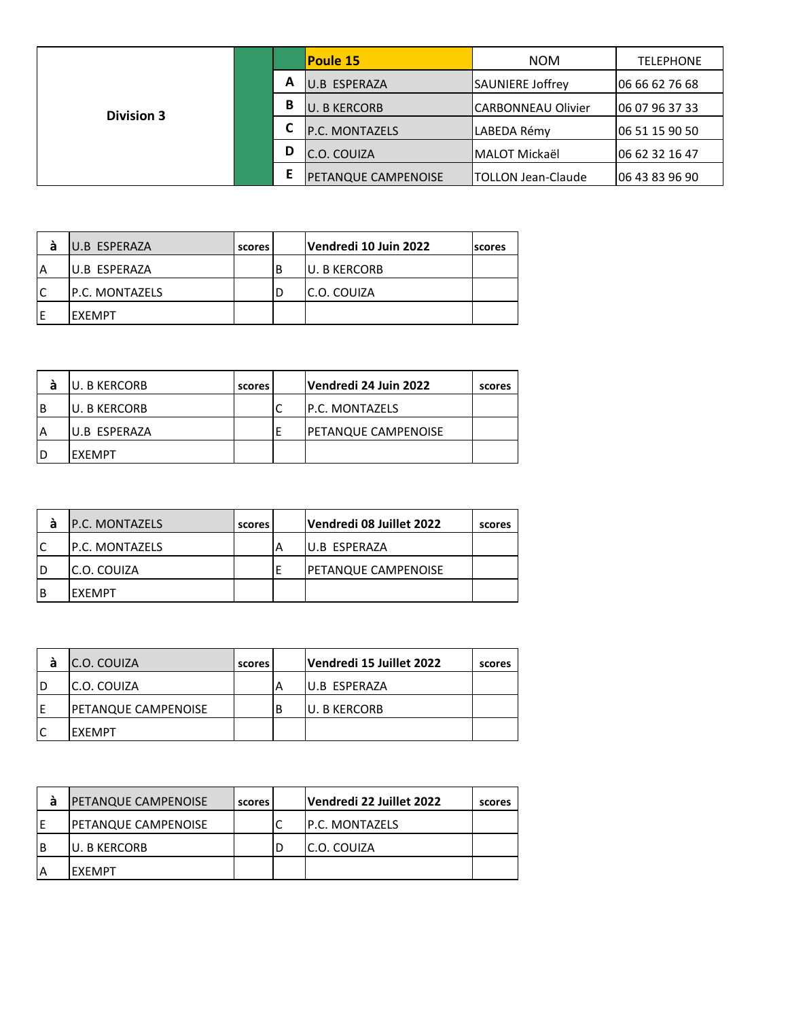|                   |   | <b>Poule 15</b>       | <b>NOM</b>                | <b>TELEPHONE</b> |
|-------------------|---|-----------------------|---------------------------|------------------|
|                   | А | U.B ESPERAZA          | SAUNIERE Joffrey          | 06 66 62 76 68   |
| <b>Division 3</b> | B | <b>U. B KERCORB</b>   | <b>CARBONNEAU Olivier</b> | 06 07 96 37 33   |
|                   | L | <b>P.C. MONTAZELS</b> | LABEDA Rémy               | 06 51 15 90 50   |
|                   | D | C.O. COUIZA           | lMALOT Mickaël            | 06 62 32 16 47   |
|                   | Ε | PETANQUE CAMPENOISE   | <b>TOLLON Jean-Claude</b> | 06 43 83 96 90   |

| а  | U.B ESPERAZA    | scores | Vendredi 10 Juin 2022 | <b>scores</b> |
|----|-----------------|--------|-----------------------|---------------|
| ۱A | IU.B ESPERAZA   |        | <b>IU. B KERCORB</b>  |               |
| lC | IP.C. MONTAZELS |        | IC.O. COUIZA          |               |
| ΙE | IEXEMPT         |        |                       |               |

|          | IU. B KERCORB | scores | Vendredi 24 Juin 2022      | scores |
|----------|---------------|--------|----------------------------|--------|
| <b>B</b> | IU. B KERCORB |        | <b>IP.C. MONTAZELS</b>     |        |
| ۱A       | U.B ESPERAZA  |        | <b>PETANQUE CAMPENOISE</b> |        |
| ID       | <b>FXFMPT</b> |        |                            |        |

| а  | <b>IP.C. MONTAZELS</b> | scores | Vendredi 08 Juillet 2022   | scores |
|----|------------------------|--------|----------------------------|--------|
| lC | <b>IP.C. MONTAZELS</b> |        | U.B ESPERAZA               |        |
| ID | IC.O. COUIZA           |        | <b>PETANQUE CAMPENOISE</b> |        |
| lΒ | IEXEMPT                |        |                            |        |

|    | IC.O. COUIZA               | scores | Vendredi 15 Juillet 2022 | scores |
|----|----------------------------|--------|--------------------------|--------|
| ID | IC.O. COUIZA               |        | IU.B ESPERAZA            |        |
| E  | <b>PETANQUE CAMPENOISE</b> |        | U. B KERCORB             |        |
|    | IFXFMPT                    |        |                          |        |

| а  | <b>PETANQUE CAMPENOISE</b>  | scores | Vendredi 22 Juillet 2022 | scores |
|----|-----------------------------|--------|--------------------------|--------|
| ١F | <b>IPETANQUE CAMPENOISE</b> |        | <b>IP.C. MONTAZELS</b>   |        |
| B  | <b>IU. B KERCORB</b>        |        | IC.O. COUIZA             |        |
|    | <b>IFXFMPT</b>              |        |                          |        |